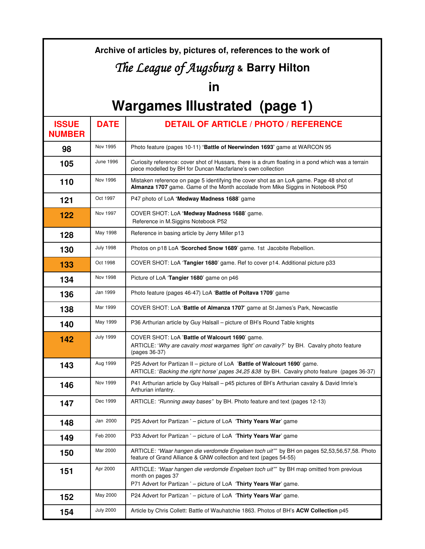#### **Archive of articles by, pictures of, references to the work of**

## The League of Augsburg & Barry Hilton

### **in**

# **Wargames Illustrated (page 1)**

| <b>ISSUE</b><br><b>NUMBER</b> | <b>DATE</b>      | <b>DETAIL OF ARTICLE / PHOTO / REFERENCE</b>                                                                                                                                       |
|-------------------------------|------------------|------------------------------------------------------------------------------------------------------------------------------------------------------------------------------------|
| 98                            | Nov 1995         | Photo feature (pages 10-11) 'Battle of Neerwinden 1693' game at WARCON 95                                                                                                          |
| 105                           | June 1996        | Curiosity reference: cover shot of Hussars, there is a drum floating in a pond which was a terrain<br>piece modelled by BH for Duncan Macfarlane's own collection                  |
| 110                           | Nov 1996         | Mistaken reference on page 5 identifying the cover shot as an LoA game. Page 48 shot of<br>Almanza 1707 game. Game of the Month accolade from Mike Siggins in Notebook P50         |
| 121                           | Oct 1997         | P47 photo of LoA 'Medway Madness 1688' game                                                                                                                                        |
| 122                           | Nov 1997         | COVER SHOT: LoA 'Medway Madness 1688' game.<br>Reference in M.Siggins Notebook P52                                                                                                 |
| 128                           | May 1998         | Reference in basing article by Jerry Miller p13                                                                                                                                    |
| 130                           | <b>July 1998</b> | Photos on p18 LoA 'Scorched Snow 1689' game. 1st Jacobite Rebellion.                                                                                                               |
| 133                           | Oct 1998         | COVER SHOT: LoA 'Tangier 1680' game. Ref to cover p14. Additional picture p33                                                                                                      |
| 134                           | Nov 1998         | Picture of LoA 'Tangier 1680' game on p46                                                                                                                                          |
| 136                           | Jan 1999         | Photo feature (pages 46-47) LoA 'Battle of Poltava 1709' game                                                                                                                      |
| 138                           | Mar 1999         | COVER SHOT: LoA 'Battle of Almanza 1707' game at St James's Park, Newcastle                                                                                                        |
| 140                           | May 1999         | P36 Arthurian article by Guy Halsall - picture of BH's Round Table knights                                                                                                         |
| 142                           | <b>July 1999</b> | COVER SHOT: LoA 'Battle of Walcourt 1690' game.<br>ARTICLE: 'Why are cavalry most wargames 'light' on cavalry?' by BH. Cavalry photo feature<br>(pages 36-37)                      |
| 143                           | Aug 1999         | P25 Advert for Partizan II - picture of LoA 'Battle of Walcourt 1690' game.<br>ARTICLE: 'Backing the right horse' pages 34,25 &38 by BH. Cavalry photo feature (pages 36-37)       |
| 146                           | Nov 1999         | P41 Arthurian article by Guy Halsall – p45 pictures of BH's Arthurian cavalry & David Imrie's<br>Arthurian infantry.                                                               |
| 147                           | Dec 1999         | ARTICLE: "Running away bases" by BH. Photo feature and text (pages 12-13)                                                                                                          |
| 148                           | Jan 2000         | P25 Advert for Partizan ' - picture of LoA 'Thirty Years War' game                                                                                                                 |
| 149                           | Feb 2000         | P33 Advert for Partizan ' - picture of LoA 'Thirty Years War' game                                                                                                                 |
| 150                           | Mar 2000         | ARTICLE: "Waar hangen die verdomde Engelsen toch uit"" by BH on pages 52,53,56,57,58. Photo<br>feature of Grand Alliance & GNW collection and text (pages 54-55)                   |
| 151                           | Apr 2000         | ARTICLE: "Waar hangen die verdomde Engelsen toch uit"" by BH map omitted from previous<br>month on pages 37<br>P71 Advert for Partizan ' - picture of LoA 'Thirty Years War' game. |
| 152                           | May 2000         | P24 Advert for Partizan ' - picture of LoA 'Thirty Years War' game.                                                                                                                |
| 154                           | <b>July 2000</b> | Article by Chris Collett: Battle of Wauhatchie 1863. Photos of BH's ACW Collection p45                                                                                             |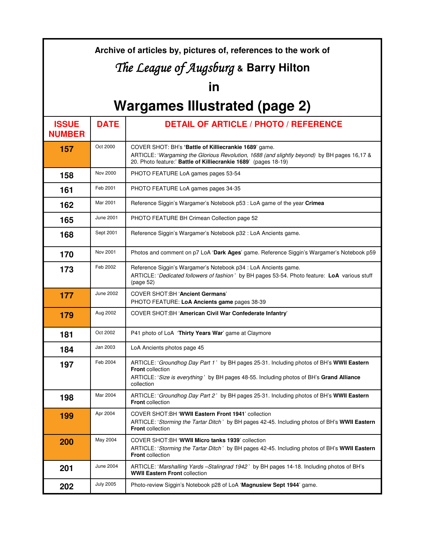| Archive of articles by, pictures of, references to the work of |                  |                                                                                                                                                                                                                               |  |  |  |  |
|----------------------------------------------------------------|------------------|-------------------------------------------------------------------------------------------------------------------------------------------------------------------------------------------------------------------------------|--|--|--|--|
| The League of Augsburg & Barry Hilton                          |                  |                                                                                                                                                                                                                               |  |  |  |  |
| in                                                             |                  |                                                                                                                                                                                                                               |  |  |  |  |
| <b>Wargames Illustrated (page 2)</b>                           |                  |                                                                                                                                                                                                                               |  |  |  |  |
| <b>ISSUE</b><br><b>NUMBER</b>                                  | <b>DATE</b>      | <b>DETAIL OF ARTICLE / PHOTO / REFERENCE</b>                                                                                                                                                                                  |  |  |  |  |
| 157                                                            | Oct 2000         | COVER SHOT: BH's 'Battle of Killiecrankie 1689' game.<br>ARTICLE: 'Wargaming the Glorious Revolution, 1688 (and slightly beyond) by BH pages 16,17 &<br>20. Photo feature:' Battle of Killiecrankie 1689' (pages 18-19)       |  |  |  |  |
| 158                                                            | Nov 2000         | PHOTO FEATURE LoA games pages 53-54                                                                                                                                                                                           |  |  |  |  |
| 161                                                            | Feb 2001         | PHOTO FEATURE LoA games pages 34-35                                                                                                                                                                                           |  |  |  |  |
| 162                                                            | Mar 2001         | Reference Siggin's Wargamer's Notebook p53 : LoA game of the year Crimea                                                                                                                                                      |  |  |  |  |
| 165                                                            | June 2001        | PHOTO FEATURE BH Crimean Collection page 52                                                                                                                                                                                   |  |  |  |  |
| 168                                                            | Sept 2001        | Reference Siggin's Wargamer's Notebook p32 : LoA Ancients game.                                                                                                                                                               |  |  |  |  |
| 170                                                            | Nov 2001         | Photos and comment on p7 LoA 'Dark Ages' game. Reference Siggin's Wargamer's Notebook p59                                                                                                                                     |  |  |  |  |
| 173                                                            | Feb 2002         | Reference Siggin's Wargamer's Notebook p34 : LoA Ancients game.<br>ARTICLE: 'Dedicated followers of fashion' by BH pages 53-54. Photo feature: LoA various stuff<br>(page 52)                                                 |  |  |  |  |
| 177                                                            | June 2002        | <b>COVER SHOT: BH 'Ancient Germans'</b><br>PHOTO FEATURE: LoA Ancients game pages 38-39                                                                                                                                       |  |  |  |  |
| 179                                                            | Aug 2002         | COVER SHOT:BH 'American Civil War Confederate Infantry'                                                                                                                                                                       |  |  |  |  |
| 181                                                            | Oct 2002         | P41 photo of LoA 'Thirty Years War' game at Claymore                                                                                                                                                                          |  |  |  |  |
| 184                                                            | Jan 2003         | LoA Ancients photos page 45                                                                                                                                                                                                   |  |  |  |  |
| 197                                                            | Feb 2004         | ARTICLE: 'Groundhog Day Part 1' by BH pages 25-31. Including photos of BH's WWII Eastern<br><b>Front</b> collection<br>ARTICLE: 'Size is everything' by BH pages 48-55. Including photos of BH's Grand Alliance<br>collection |  |  |  |  |
| 198                                                            | Mar 2004         | ARTICLE: 'Groundhog Day Part 2' by BH pages 25-31. Including photos of BH's WWII Eastern<br><b>Front</b> collection                                                                                                           |  |  |  |  |
| 199                                                            | Apr 2004         | COVER SHOT: BH 'WWII Eastern Front 1941' collection<br>ARTICLE: 'Storming the Tartar Ditch' by BH pages 42-45. Including photos of BH's WWII Eastern<br><b>Front</b> collection                                               |  |  |  |  |
| 200                                                            | May 2004         | COVER SHOT:BH 'WWII Micro tanks 1939' collection<br>ARTICLE: 'Storming the Tartar Ditch' by BH pages 42-45. Including photos of BH's WWII Eastern<br><b>Front</b> collection                                                  |  |  |  |  |
| 201                                                            | <b>June 2004</b> | ARTICLE: 'Marshalling Yards -Stalingrad 1942' by BH pages 14-18. Including photos of BH's<br><b>WWII Eastern Front collection</b>                                                                                             |  |  |  |  |
| 202                                                            | <b>July 2005</b> | Photo-review Siggin's Notebook p28 of LoA 'Magnusiew Sept 1944' game.                                                                                                                                                         |  |  |  |  |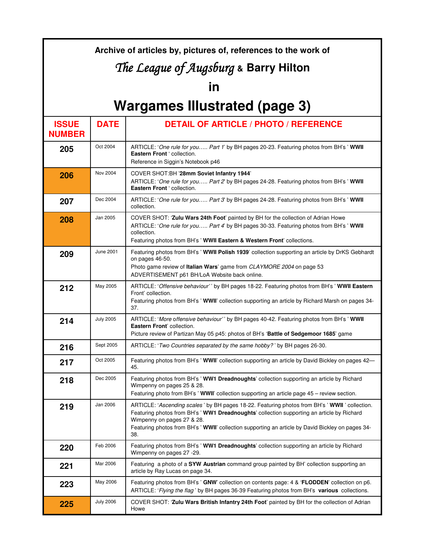#### **Archive of articles by, pictures of, references to the work of**

## The League of Augsburg & Barry Hilton

### **in**

# **Wargames Illustrated (page 3)**

| <b>ISSUE</b><br><b>NUMBER</b> | <b>DATE</b>      | <b>DETAIL OF ARTICLE / PHOTO / REFERENCE</b>                                                                                                                                                                                                                                                                                           |
|-------------------------------|------------------|----------------------------------------------------------------------------------------------------------------------------------------------------------------------------------------------------------------------------------------------------------------------------------------------------------------------------------------|
| 205                           | Oct 2004         | ARTICLE: 'One rule for you Part 1' by BH pages 20-23. Featuring photos from BH's ' WWII<br>Eastern Front ' collection.<br>Reference in Siggin's Notebook p46                                                                                                                                                                           |
| 206                           | Nov 2004         | COVER SHOT:BH '28mm Soviet Infantry 1944'<br>ARTICLE: 'One rule for you Part 2' by BH pages 24-28. Featuring photos from BH's ' WWII<br>Eastern Front 'collection.                                                                                                                                                                     |
| 207                           | Dec 2004         | ARTICLE: 'One rule for you Part 3' by BH pages 24-28. Featuring photos from BH's ' WWII<br>collection.                                                                                                                                                                                                                                 |
| 208                           | Jan 2005         | COVER SHOT: 'Zulu Wars 24th Foot' painted by BH for the collection of Adrian Howe<br>ARTICLE: 'One rule for you Part 4' by BH pages 30-33. Featuring photos from BH's ' WWII<br>collection.<br>Featuring photos from BH's ' WWII Eastern & Western Front' collections.                                                                 |
| 209                           | June 2001        | Featuring photos from BH's ' WWII Polish 1939' collection supporting an article by DrKS Gebhardt<br>on pages 46-50.<br>Photo game review of Italian Wars' game from CLAYMORE 2004 on page 53<br>ADVERTISEMENT p61 BH/LoA Website back online.                                                                                          |
| 212                           | May 2005         | ARTICLE: 'Offensive behaviour'' by BH pages 18-22. Featuring photos from BH's ' WWII Eastern<br>Front' collection.<br>Featuring photos from BH's ' WWII' collection supporting an article by Richard Marsh on pages 34-<br>37.                                                                                                         |
| 214                           | <b>July 2005</b> | ARTICLE: 'More offensive behaviour'' by BH pages 40-42. Featuring photos from BH's ' WWII<br>Eastern Front' collection.<br>Picture review of Partizan May 05 p45: photos of BH's 'Battle of Sedgemoor 1685' game                                                                                                                       |
| 216                           | Sept 2005        | ARTICLE: 'Two Countries separated by the same hobby?' by BH pages 26-30.                                                                                                                                                                                                                                                               |
| 217                           | Oct 2005         | Featuring photos from BH's ' WWII' collection supporting an article by David Bickley on pages 42-<br>45.                                                                                                                                                                                                                               |
| 218                           | Dec 2005         | Featuring photos from BH's ' WW1 Dreadnoughts' collection supporting an article by Richard<br>Wimpenny on pages 25 & 28.<br>Featuring photo from BH's 'WWII' collection supporting an article page 45 – review section.                                                                                                                |
| 219                           | Jan 2006         | ARTICLE: 'Ascending scales' by BH pages 18-22. Featuring photos from BH's ' WWII ' collection.<br>Featuring photos from BH's ' WW1 Dreadnoughts' collection supporting an article by Richard<br>Wimpenny on pages 27 & 28.<br>Featuring photos from BH's ' WWII' collection supporting an article by David Bickley on pages 34-<br>38. |
| 220                           | Feb 2006         | Featuring photos from BH's ' WW1 Dreadnoughts' collection supporting an article by Richard<br>Wimpenny on pages 27 -29.                                                                                                                                                                                                                |
| 221                           | Mar 2006         | Featuring a photo of a SYW Austrian command group painted by BH' collection supporting an<br>article by Ray Lucas on page 34.                                                                                                                                                                                                          |
| 223                           | May 2006         | Featuring photos from BH's ' GNW' collection on contents page: 4 & 'FLODDEN' collection on p6.<br>ARTICLE: 'Flying the flag' by BH pages 36-39 Featuring photos from BH's various collections.                                                                                                                                         |
| 225                           | <b>July 2006</b> | COVER SHOT: 'Zulu Wars British Infantry 24th Foot' painted by BH for the collection of Adrian<br>Howe                                                                                                                                                                                                                                  |